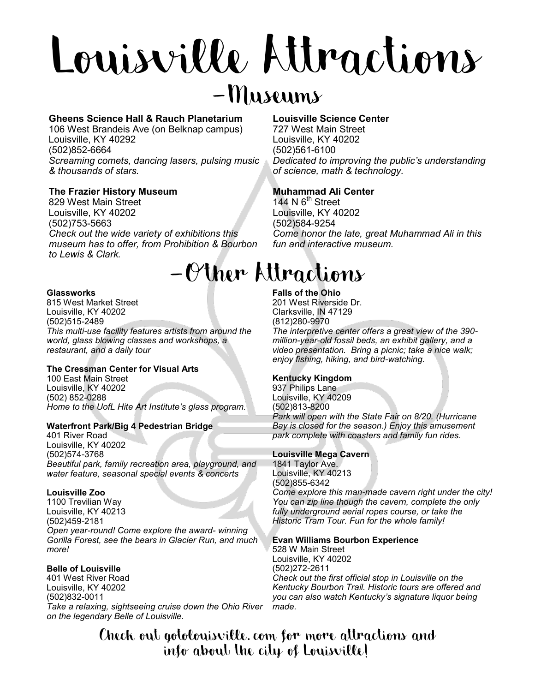# Louisville Attractions

### $-Mu$ seums

#### **Gheens Science Hall & Rauch Planetarium**

106 West Brandeis Ave (on Belknap campus) Louisville, KY 40292 (502)852-6664 *Screaming comets, dancing lasers, pulsing music & thousands of stars.*

#### **The Frazier History Museum**

829 West Main Street Louisville, KY 40202 (502)753-5663 *Check out the wide variety of exhibitions this museum has to offer, from Prohibition & Bourbon to Lewis & Clark.*

#### **Glassworks**

815 West Market Street Louisville, KY 40202 (502)515-2489 *This multi-use facility features artists from around the world, glass blowing classes and workshops, a restaurant, and a daily tour*

#### **The Cressman Center for Visual Arts**

100 East Main Street Louisville, KY 40202 (502) 852-0288 *Home to the UofL Hite Art Institute's glass program.* 

#### **Waterfront Park/Big 4 Pedestrian Bridge**

401 River Road Louisville, KY 40202 (502)574-3768 *Beautiful park, family recreation area, playground, and water feature, seasonal special events & concerts*

#### **Louisville Zoo**

1100 Trevilian Way Louisville, KY 40213 (502)459-2181 *Open year-round! Come explore the award- winning Gorilla Forest, see the bears in Glacier Run, and much more!*

#### **Belle of Louisville**

401 West River Road Louisville, KY 40202 (502)832-0011 *Take a relaxing, sightseeing cruise down the Ohio River on the legendary Belle of Louisville.*

#### **Louisville Science Center**

727 West Main Street Louisville, KY 40202 (502)561-6100 *Dedicated to improving the public's understanding of science, math & technology.*

#### **Muhammad Ali Center**

144 N  $6<sup>th</sup>$  Street Louisville, KY 40202 (502)584-9254 *Come honor the late, great Muhammad Ali in this fun and interactive museum.*

## -Other Attractions

#### **Falls of the Ohio**

201 West Riverside Dr. Clarksville, IN 47129 (812)280-9970

*The interpretive center offers a great view of the 390 million-year-old fossil beds, an exhibit gallery, and a video presentation. Bring a picnic; take a nice walk; enjoy fishing, hiking, and bird-watching.* 

#### **Kentucky Kingdom**

937 Philips Lane Louisville, KY 40209 (502)813-8200 *Park will open with the State Fair on 8/20. (Hurricane Bay is closed for the season.) Enjoy this amusement park complete with coasters and family fun rides.* 

#### **Louisville Mega Cavern**

1841 Taylor Ave. Louisville, KY 40213 (502)855-6342 *Come explore this man-made cavern right under the city! You can zip line though the cavern, complete the only fully underground aerial ropes course, or take the Historic Tram Tour. Fun for the whole family!*

#### **Evan Williams Bourbon Experience**

528 W Main Street Louisville, KY 40202 (502)272-2611 *Check out the first official stop in Louisville on the Kentucky Bourbon Trail. Historic tours are offered and you can also watch Kentucky's signature liquor being made.* 

Check out gotolouisville. com for more attractions and info about the city of Louisville